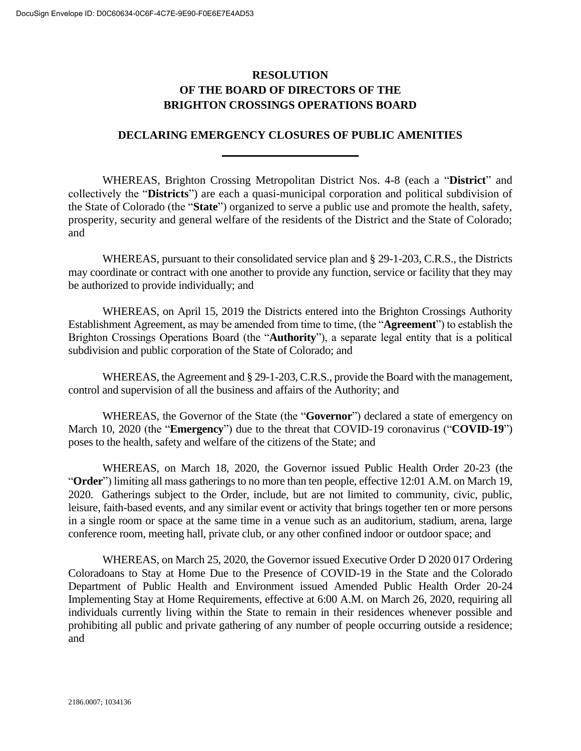## **RESOLUTION OF THE BOARD OF DIRECTORS OF THE BRIGHTON CROSSINGS OPERATIONS BOARD**

## **DECLARING EMERGENCY CLOSURES OF PUBLIC AMENITIES**

WHEREAS, Brighton Crossing Metropolitan District Nos. 4-8 (each a "**District**" and collectively the "**Districts**") are each a quasi-municipal corporation and political subdivision of the State of Colorado (the "**State**") organized to serve a public use and promote the health, safety, prosperity, security and general welfare of the residents of the District and the State of Colorado; and

WHEREAS, pursuant to their consolidated service plan and § 29-1-203, C.R.S., the Districts may coordinate or contract with one another to provide any function, service or facility that they may be authorized to provide individually; and

WHEREAS, on April 15, 2019 the Districts entered into the Brighton Crossings Authority Establishment Agreement, as may be amended from time to time, (the "**Agreement**") to establish the Brighton Crossings Operations Board (the "**Authority**"), a separate legal entity that is a political subdivision and public corporation of the State of Colorado; and

WHEREAS, the Agreement and § 29-1-203, C.R.S., provide the Board with the management, control and supervision of all the business and affairs of the Authority; and

WHEREAS, the Governor of the State (the "**Governor**") declared a state of emergency on March 10, 2020 (the "**Emergency**") due to the threat that COVID-19 coronavirus ("**COVID-19**") poses to the health, safety and welfare of the citizens of the State; and

WHEREAS, on March 18, 2020, the Governor issued Public Health Order 20-23 (the "**Order**") limiting all mass gatherings to no more than ten people, effective 12:01 A.M. on March 19, 2020. Gatherings subject to the Order, include, but are not limited to community, civic, public, leisure, faith-based events, and any similar event or activity that brings together ten or more persons in a single room or space at the same time in a venue such as an auditorium, stadium, arena, large conference room, meeting hall, private club, or any other confined indoor or outdoor space; and

WHEREAS, on March 25, 2020, the Governor issued Executive Order D 2020 017 Ordering Coloradoans to Stay at Home Due to the Presence of COVID-19 in the State and the Colorado Department of Public Health and Environment issued Amended Public Health Order 20-24 Implementing Stay at Home Requirements, effective at 6:00 A.M. on March 26, 2020, requiring all individuals currently living within the State to remain in their residences whenever possible and prohibiting all public and private gathering of any number of people occurring outside a residence; and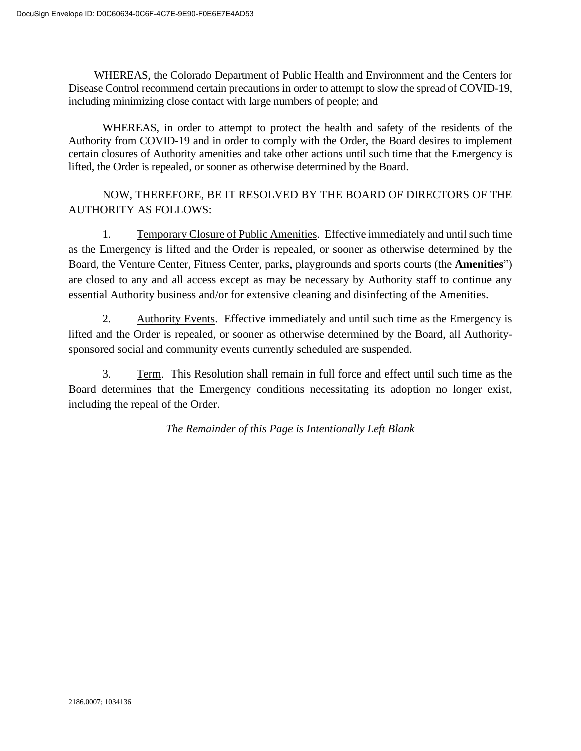WHEREAS, the Colorado Department of Public Health and Environment and the Centers for Disease Control recommend certain precautions in order to attempt to slow the spread of COVID-19, including minimizing close contact with large numbers of people; and

WHEREAS, in order to attempt to protect the health and safety of the residents of the Authority from COVID-19 and in order to comply with the Order, the Board desires to implement certain closures of Authority amenities and take other actions until such time that the Emergency is lifted, the Order is repealed, or sooner as otherwise determined by the Board.

## NOW, THEREFORE, BE IT RESOLVED BY THE BOARD OF DIRECTORS OF THE AUTHORITY AS FOLLOWS:

1. Temporary Closure of Public Amenities. Effective immediately and until such time as the Emergency is lifted and the Order is repealed, or sooner as otherwise determined by the Board, the Venture Center, Fitness Center, parks, playgrounds and sports courts (the **Amenities**") are closed to any and all access except as may be necessary by Authority staff to continue any essential Authority business and/or for extensive cleaning and disinfecting of the Amenities.

2. Authority Events. Effective immediately and until such time as the Emergency is lifted and the Order is repealed, or sooner as otherwise determined by the Board, all Authoritysponsored social and community events currently scheduled are suspended.

3. Term. This Resolution shall remain in full force and effect until such time as the Board determines that the Emergency conditions necessitating its adoption no longer exist, including the repeal of the Order.

*The Remainder of this Page is Intentionally Left Blank*